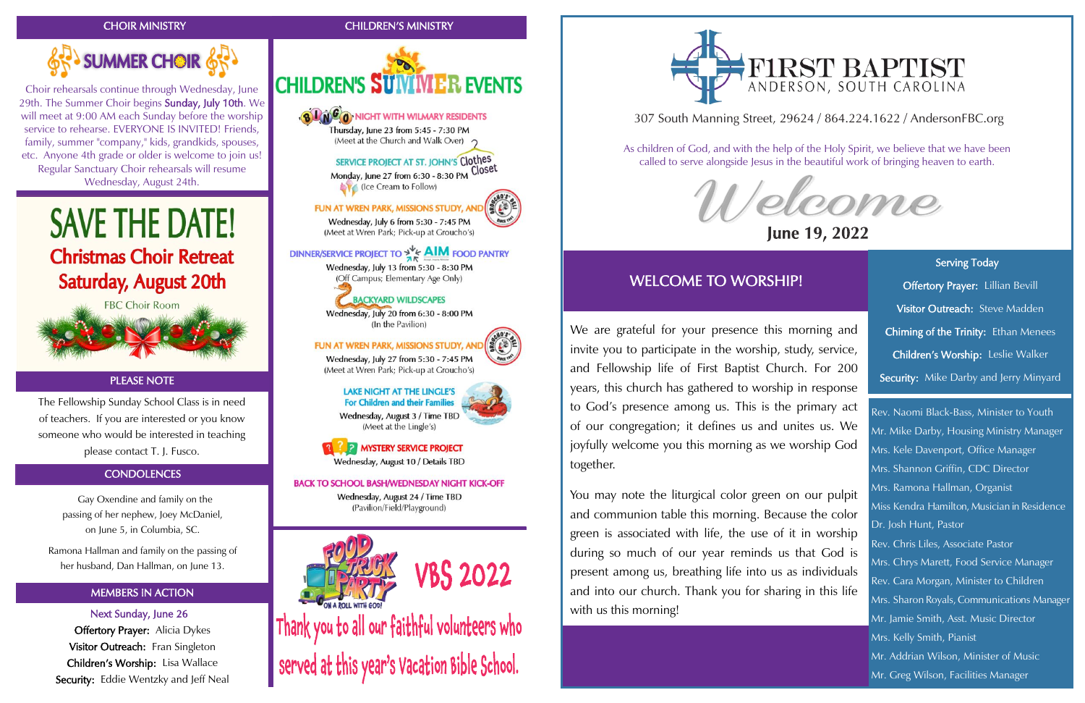# CHOIR MINISTRY



# MEMBERS IN ACTION

Next Sunday, June 26 **Offertory Prayer:** Alicia Dykes Visitor Outreach: Fran Singleton Children's Worship: Lisa Wallace Security: Eddie Wentzky and Jeff Neal CHILDREN'S MINISTRY



Wednesday, July 20 from 6:30 - 8:00 PM (In the Pavilion)

FUN AT WREN PARK, MISSIONS STUDY, AN

Wednesday, July 27 from 5:30 - 7:45 PM (Meet at Wren Park; Pick-up at Groucho's)

# **LAKE NIGHT AT THE LINGLE'S** For Children and their Families



Wednesday, August 3 / Time TBD (Meet at the Lingle's)

**EDET INVSTERY SERVICE PROJECT** Wednesday, August 10 / Details TBD

# **BACK TO SCHOOL BASH/WEDNESDAY NIGHT KICK-OFF**

Wednesday, August 24 / Time TBD (Pavilion/Field/Playground)



Thank you to all our faithful volunteers who served at this year's Vacation Bible School.



 Gay Oxendine and family on the passing of her nephew, Joey McDaniel, on June 5, in Columbia, SC.

Ramona Hallman and family on the passing of her husband, Dan Hallman, on June 13.

Choir rehearsals continue through Wednesday, June 29th. The Summer Choir begins Sunday, July 10th. We will meet at 9:00 AM each Sunday before the worship service to rehearse. EVERYONE IS INVITED! Friends, family, summer "company," kids, grandkids, spouses, etc. Anyone 4th grade or older is welcome to join us! Regular Sanctuary Choir rehearsals will resume Wednesday, August 24th.





Serving Today Offertory Prayer: Lillian Bevill Visitor Outreach: Steve Madden Chiming of the Trinity: Ethan Menees Children's Worship: Leslie Walker Security: Mike Darby and Jerry Minyard

ł

The Fellowship Sunday School Class is in need of teachers. If you are interested or you know someone who would be interested in teaching please contact T. J. Fusco.

# **CONDOLENCES**

# PLEASE NOTE

# 307 South Manning Street, 29624 / 864.224.1622 / AndersonFBC.org



# June 19, 2022

As children of God, and with the help of the Holy Spirit, we believe that we have been called to serve alongside Jesus in the beautiful work of bringing heaven to earth.

# WELCOME TO WORSHIP!

Rev. Naomi Black-Bass, Minister to Youth Mr. Mike Darby, Housing Ministry Manager Mrs. Kele Davenport, Office Manager Mrs. Shannon Griffin, CDC Director Mrs. Ramona Hallman, Organist Miss Kendra Hamilton, Musician in Residence Dr. Josh Hunt, Pastor Rev. Chris Liles, Associate Pastor Mrs. Chrys Marett, Food Service Manager Rev. Cara Morgan, Minister to Children Mrs. Sharon Royals, Communications Manager Mr. Jamie Smith, Asst. Music Director Mrs. Kelly Smith, Pianist Mr. Addrian Wilson, Minister of Music Mr. Greg Wilson, Facilities Manager

We are grateful for your presence this morning and invite you to participate in the worship, study, service, and Fellowship life of First Baptist Church. For 200 years, this church has gathered to worship in response to God's presence among us. This is the primary act of our congregation; it defines us and unites us. We joyfully welcome you this morning as we worship God together.

You may note the liturgical color green on our pulpit and communion table this morning. Because the color green is associated with life, the use of it in worship during so much of our year reminds us that God is present among us, breathing life into us as individuals and into our church. Thank you for sharing in this life with us this morning!

# FIRST BAPTIST